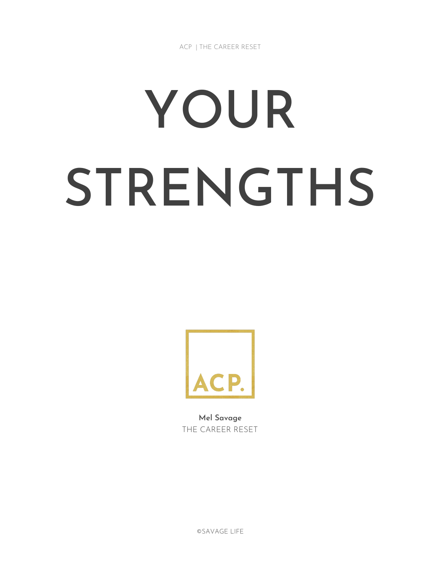ACP | THE CAREER RESET

# YOUR STRENGTHS



Mel Savage THE CAREER RESET

©SAVAGE LIFE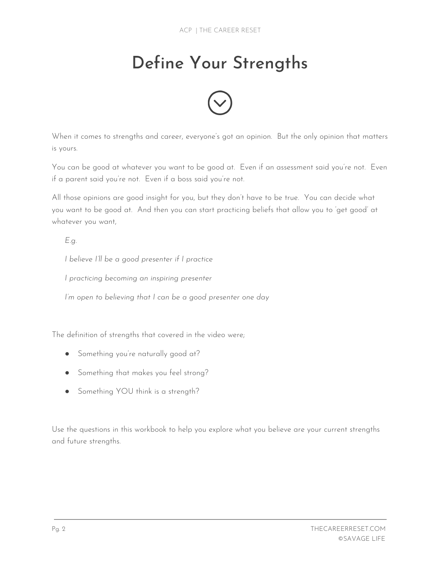## Define Your Strengths



When it comes to strengths and career, everyone's got an opinion. But the only opinion that matters is yours.

You can be good at whatever you want to be good at. Even if an assessment said you're not. Even if a parent said you're not. Even if a boss said you're not.

All those opinions are good insight for you, but they don't have to be true. You can decide what you want to be good at. And then you can start practicing beliefs that allow you to 'get good' at whatever you want,

*E.g.*

*I believe I'll be a good presenter if I practice*

*I practicing becoming an inspiring presenter*

*I'm open to believing that I can be a good presenter one day*

The definition of strengths that covered in the video were;

- Something you're naturally good at?
- Something that makes you feel strong?
- Something YOU think is a strength?

Use the questions in this workbook to help you explore what you believe are your current strengths and future strengths.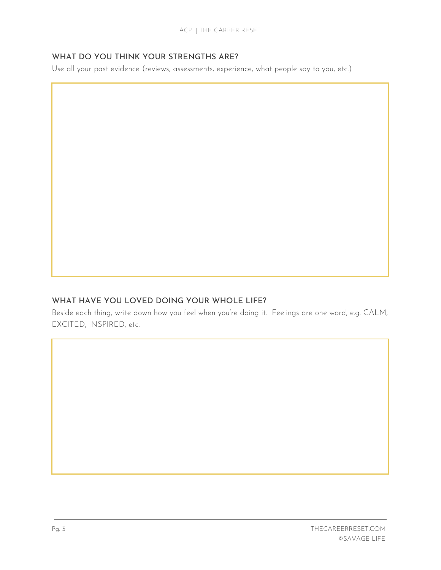#### WHAT DO YOU THINK YOUR STRENGTHS ARE?

Use all your past evidence (reviews, assessments, experience, what people say to you, etc.)

#### WHAT HAVE YOU LOVED DOING YOUR WHOLE LIFE?

Beside each thing, write down how you feel when you're doing it. Feelings are one word, e.g. CALM, EXCITED, INSPIRED, etc.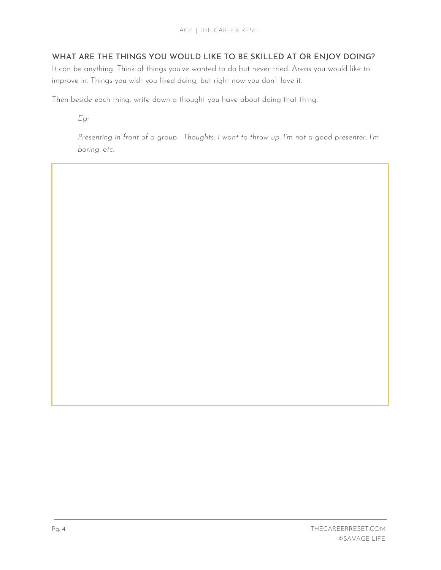#### WHAT ARE THE THINGS YOU WOULD LIKE TO BE SKILLED AT OR ENJOY DOING?

It can be anything. Think of things you've wanted to do but never tried. Areas you would like to improve in. Things you wish you liked doing, but right now you don't love it.

Then beside each thing, write down a thought you have about doing that thing.

*Eg:*

*Presenting in front of a group. Thoughts: I want to throw up. I'm not a good presenter. I'm boring. etc.*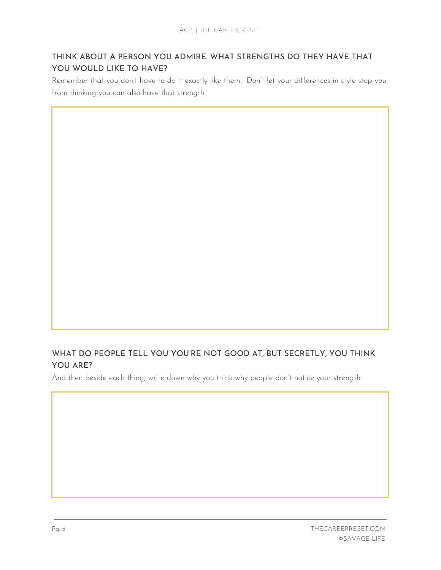#### THINK ABOUT A PERSON YOU ADMIRE. WHAT STRENGTHS DO THEY HAVE THAT YOU WOULD LIKE TO HAVE?

Remember that you don't have to do it exactly like them. Don't let your differences in style stop you from thinking you can also have that strength.

#### WHAT DO PEOPLE TELL YOU YOU'RE NOT GOOD AT, BUT SECRETLY, YOU THINK YOU ARE?

And then beside each thing, write down why you think why people don't notice your strength.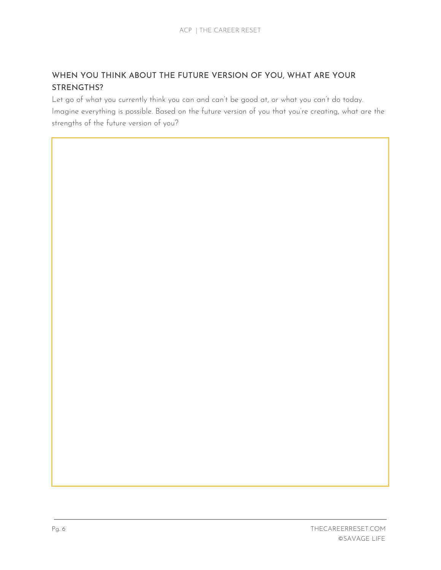#### WHEN YOU THINK ABOUT THE FUTURE VERSION OF YOU, WHAT ARE YOUR STRENGTHS?

Let go of what you currently think you can and can't be good at, or what you can't do today. Imagine everything is possible. Based on the future version of you that you're creating, what are the strengths of the future version of you?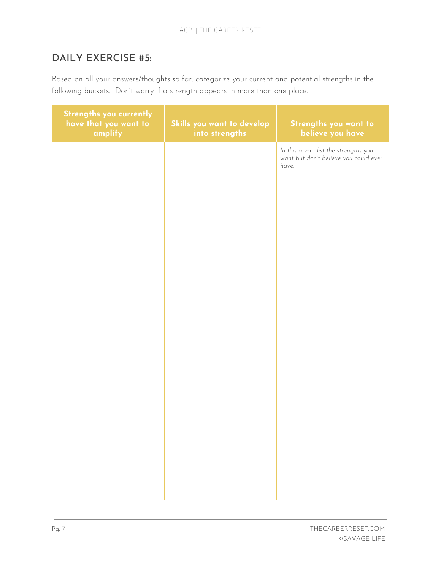### DAILY EXERCISE #5:

Based on all your answers/thoughts so far, categorize your current and potential strengths in the following buckets. Don't worry if a strength appears in more than one place.

| Strengths you currently<br>have that you want to<br>amplify | Skills you want to develop<br>into strengths | Strengths you want to<br>believe you have                                               |
|-------------------------------------------------------------|----------------------------------------------|-----------------------------------------------------------------------------------------|
|                                                             |                                              | In this area - list the strengths you<br>want but don't believe you could ever<br>have. |
|                                                             |                                              |                                                                                         |
|                                                             |                                              |                                                                                         |
|                                                             |                                              |                                                                                         |
|                                                             |                                              |                                                                                         |
|                                                             |                                              |                                                                                         |
|                                                             |                                              |                                                                                         |
|                                                             |                                              |                                                                                         |